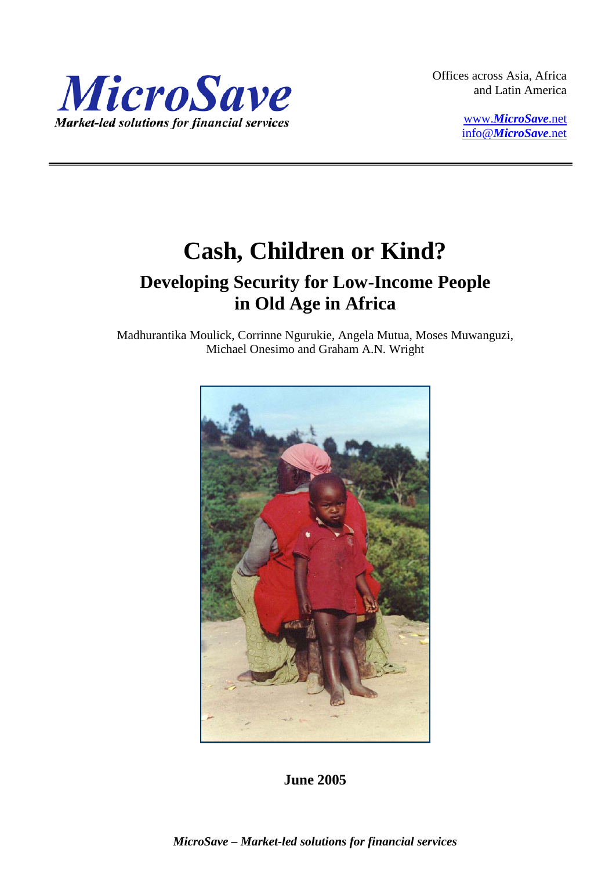

Offices across Asia, Africa and Latin America

> www.*[MicroSave](http://www.microsave.net/)*.net info@*[MicroSave](mailto:info@MicroSave.net)*.net

# **Cash, Children or Kind?**

# **Developing Security for Low-Income People in Old Age in Africa**

Madhurantika Moulick, Corrinne Ngurukie, Angela Mutua, Moses Muwanguzi, Michael Onesimo and Graham A.N. Wright



**June 2005**

*MicroSave – Market-led solutions for financial services*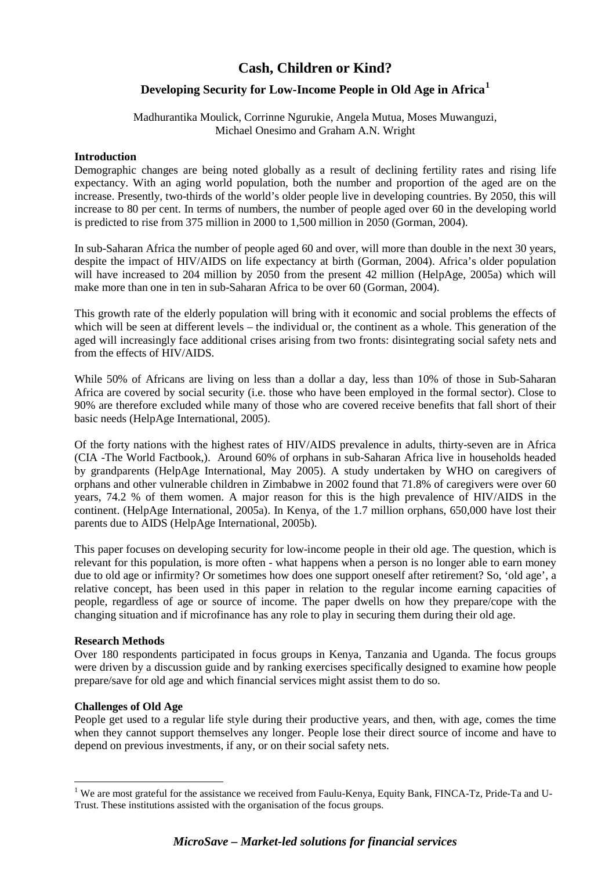# **Cash, Children or Kind?**

## **Developing Security for Low-Income People in Old Age in Africa[1](#page-1-0)**

#### Madhurantika Moulick, Corrinne Ngurukie, Angela Mutua, Moses Muwanguzi, Michael Onesimo and Graham A.N. Wright

#### **Introduction**

Demographic changes are being noted globally as a result of declining fertility rates and rising life expectancy. With an aging world population, both the number and proportion of the aged are on the increase. Presently, two-thirds of the world's older people live in developing countries. By 2050, this will increase to 80 per cent. In terms of numbers, the number of people aged over 60 in the developing world is predicted to rise from 375 million in 2000 to 1,500 million in 2050 (Gorman, 2004).

In sub-Saharan Africa the number of people aged 60 and over, will more than double in the next 30 years, despite the impact of HIV/AIDS on life expectancy at birth (Gorman, 2004). Africa's older population will have increased to 204 million by 2050 from the present 42 million (HelpAge, 2005a) which will make more than one in ten in sub-Saharan Africa to be over 60 (Gorman, 2004).

This growth rate of the elderly population will bring with it economic and social problems the effects of which will be seen at different levels – the individual or, the continent as a whole. This generation of the aged will increasingly face additional crises arising from two fronts: disintegrating social safety nets and from the effects of HIV/AIDS.

While 50% of Africans are living on less than a dollar a day, less than 10% of those in Sub-Saharan Africa are covered by social security (i.e. those who have been employed in the formal sector). Close to 90% are therefore excluded while many of those who are covered receive benefits that fall short of their basic needs (HelpAge International, 2005).

Of the forty nations with the highest rates of HIV/AIDS prevalence in adults, thirty-seven are in Africa (CIA -The World Factbook,). Around 60% of orphans in sub-Saharan Africa live in households headed by grandparents (HelpAge International, May 2005). A study undertaken by WHO on caregivers of orphans and other vulnerable children in Zimbabwe in 2002 found that 71.8% of caregivers were over 60 years, 74.2 % of them women. A major reason for this is the high prevalence of HIV/AIDS in the continent. (HelpAge International, 2005a). In Kenya, of the 1.7 million orphans, 650,000 have lost their parents due to AIDS (HelpAge International, 2005b).

This paper focuses on developing security for low-income people in their old age. The question, which is relevant for this population, is more often - what happens when a person is no longer able to earn money due to old age or infirmity? Or sometimes how does one support oneself after retirement? So, 'old age', a relative concept, has been used in this paper in relation to the regular income earning capacities of people, regardless of age or source of income. The paper dwells on how they prepare/cope with the changing situation and if microfinance has any role to play in securing them during their old age.

#### **Research Methods**

Over 180 respondents participated in focus groups in Kenya, Tanzania and Uganda. The focus groups were driven by a discussion guide and by ranking exercises specifically designed to examine how people prepare/save for old age and which financial services might assist them to do so.

#### **Challenges of Old Age**

People get used to a regular life style during their productive years, and then, with age, comes the time when they cannot support themselves any longer. People lose their direct source of income and have to depend on previous investments, if any, or on their social safety nets.

<span id="page-1-0"></span><sup>&</sup>lt;sup>1</sup> We are most grateful for the assistance we received from Faulu-Kenya, Equity Bank, FINCA-Tz, Pride-Ta and U-Trust. These institutions assisted with the organisation of the focus groups.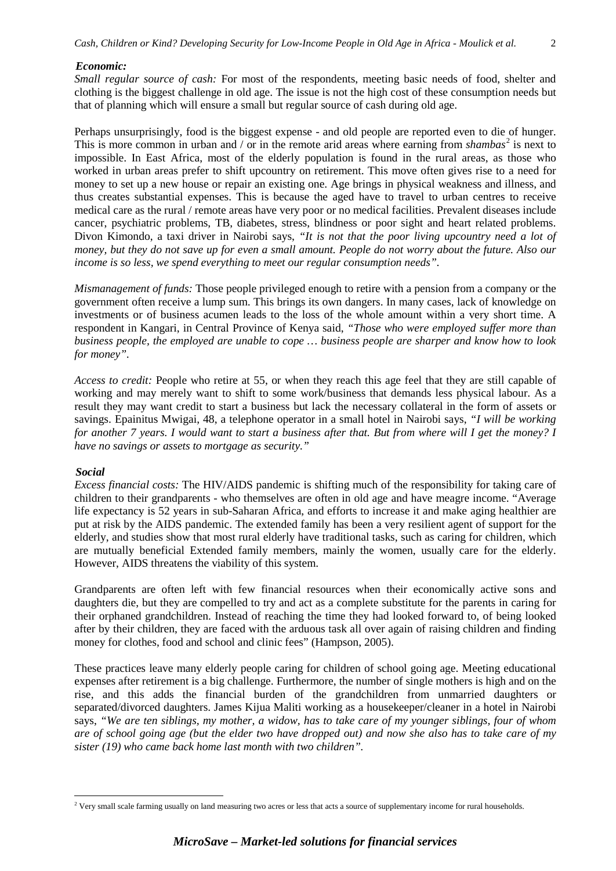#### *Economic:*

*Small regular source of cash:* For most of the respondents, meeting basic needs of food, shelter and clothing is the biggest challenge in old age. The issue is not the high cost of these consumption needs but that of planning which will ensure a small but regular source of cash during old age.

Perhaps unsurprisingly, food is the biggest expense - and old people are reported even to die of hunger. This is more common in urban and / or in the remote arid areas where earning from  $shambas<sup>2</sup>$  $shambas<sup>2</sup>$  $shambas<sup>2</sup>$  is next to impossible. In East Africa, most of the elderly population is found in the rural areas, as those who worked in urban areas prefer to shift upcountry on retirement. This move often gives rise to a need for money to set up a new house or repair an existing one. Age brings in physical weakness and illness, and thus creates substantial expenses. This is because the aged have to travel to urban centres to receive medical care as the rural / remote areas have very poor or no medical facilities. Prevalent diseases include cancer, psychiatric problems, TB, diabetes, stress, blindness or poor sight and heart related problems. Divon Kimondo, a taxi driver in Nairobi says, *"It is not that the poor living upcountry need a lot of money, but they do not save up for even a small amount. People do not worry about the future. Also our income is so less, we spend everything to meet our regular consumption needs".* 

*Mismanagement of funds:* Those people privileged enough to retire with a pension from a company or the government often receive a lump sum. This brings its own dangers. In many cases, lack of knowledge on investments or of business acumen leads to the loss of the whole amount within a very short time. A respondent in Kangari, in Central Province of Kenya said, *"Those who were employed suffer more than business people, the employed are unable to cope … business people are sharper and know how to look for money".*

*Access to credit:* People who retire at 55, or when they reach this age feel that they are still capable of working and may merely want to shift to some work/business that demands less physical labour. As a result they may want credit to start a business but lack the necessary collateral in the form of assets or savings. Epainitus Mwigai, 48, a telephone operator in a small hotel in Nairobi says, *"I will be working for another 7 years. I would want to start a business after that. But from where will I get the money? I have no savings or assets to mortgage as security."*

#### *Social*

*Excess financial costs:* The HIV/AIDS pandemic is shifting much of the responsibility for taking care of children to their grandparents - who themselves are often in old age and have meagre income. "Average life expectancy is 52 years in sub-Saharan Africa, and efforts to increase it and make aging healthier are put at risk by the AIDS pandemic. The extended family has been a very resilient agent of support for the elderly, and studies show that most rural elderly have traditional tasks, such as caring for children, which are mutually beneficial Extended family members, mainly the women, usually care for the elderly. However, AIDS threatens the viability of this system.

Grandparents are often left with few financial resources when their economically active sons and daughters die, but they are compelled to try and act as a complete substitute for the parents in caring for their orphaned grandchildren. Instead of reaching the time they had looked forward to, of being looked after by their children, they are faced with the arduous task all over again of raising children and finding money for clothes, food and school and clinic fees" (Hampson, 2005).

These practices leave many elderly people caring for children of school going age. Meeting educational expenses after retirement is a big challenge. Furthermore, the number of single mothers is high and on the rise, and this adds the financial burden of the grandchildren from unmarried daughters or separated/divorced daughters. James Kijua Maliti working as a housekeeper/cleaner in a hotel in Nairobi says, *"We are ten siblings, my mother, a widow, has to take care of my younger siblings, four of whom are of school going age (but the elder two have dropped out) and now she also has to take care of my sister (19) who came back home last month with two children".* 

<span id="page-2-0"></span><sup>&</sup>lt;sup>2</sup> Very small scale farming usually on land measuring two acres or less that acts a source of supplementary income for rural households.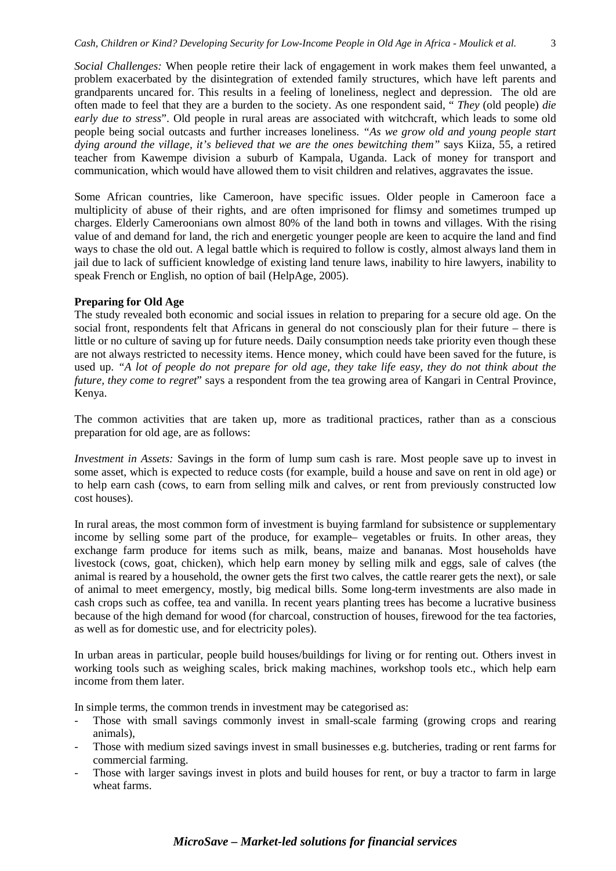*Social Challenges:* When people retire their lack of engagement in work makes them feel unwanted, a problem exacerbated by the disintegration of extended family structures, which have left parents and grandparents uncared for. This results in a feeling of loneliness, neglect and depression. The old are often made to feel that they are a burden to the society. As one respondent said, " *They* (old people) *die early due to stress*". Old people in rural areas are associated with witchcraft, which leads to some old people being social outcasts and further increases loneliness. *"As we grow old and young people start dying around the village, it's believed that we are the ones bewitching them"* says Kiiza, 55, a retired teacher from Kawempe division a suburb of Kampala, Uganda. Lack of money for transport and communication, which would have allowed them to visit children and relatives, aggravates the issue.

Some African countries, like Cameroon, have specific issues. Older people in Cameroon face a multiplicity of abuse of their rights, and are often imprisoned for flimsy and sometimes trumped up charges. Elderly Cameroonians own almost 80% of the land both in towns and villages. With the rising value of and demand for land, the rich and energetic younger people are keen to acquire the land and find ways to chase the old out. A legal battle which is required to follow is costly, almost always land them in jail due to lack of sufficient knowledge of existing land tenure laws, inability to hire lawyers, inability to speak French or English, no option of bail (HelpAge, 2005).

#### **Preparing for Old Age**

The study revealed both economic and social issues in relation to preparing for a secure old age. On the social front, respondents felt that Africans in general do not consciously plan for their future – there is little or no culture of saving up for future needs. Daily consumption needs take priority even though these are not always restricted to necessity items. Hence money, which could have been saved for the future, is used up. *"A lot of people do not prepare for old age, they take life easy, they do not think about the future, they come to regret*" says a respondent from the tea growing area of Kangari in Central Province, Kenya.

The common activities that are taken up, more as traditional practices, rather than as a conscious preparation for old age, are as follows:

*Investment in Assets:* Savings in the form of lump sum cash is rare. Most people save up to invest in some asset, which is expected to reduce costs (for example, build a house and save on rent in old age) or to help earn cash (cows, to earn from selling milk and calves, or rent from previously constructed low cost houses).

In rural areas, the most common form of investment is buying farmland for subsistence or supplementary income by selling some part of the produce, for example– vegetables or fruits. In other areas, they exchange farm produce for items such as milk, beans, maize and bananas. Most households have livestock (cows, goat, chicken), which help earn money by selling milk and eggs, sale of calves (the animal is reared by a household, the owner gets the first two calves, the cattle rearer gets the next), or sale of animal to meet emergency, mostly, big medical bills. Some long-term investments are also made in cash crops such as coffee, tea and vanilla. In recent years planting trees has become a lucrative business because of the high demand for wood (for charcoal, construction of houses, firewood for the tea factories, as well as for domestic use, and for electricity poles).

In urban areas in particular, people build houses/buildings for living or for renting out. Others invest in working tools such as weighing scales, brick making machines, workshop tools etc., which help earn income from them later.

In simple terms, the common trends in investment may be categorised as:

- Those with small savings commonly invest in small-scale farming (growing crops and rearing animals),
- Those with medium sized savings invest in small businesses e.g. butcheries, trading or rent farms for commercial farming.
- Those with larger savings invest in plots and build houses for rent, or buy a tractor to farm in large wheat farms.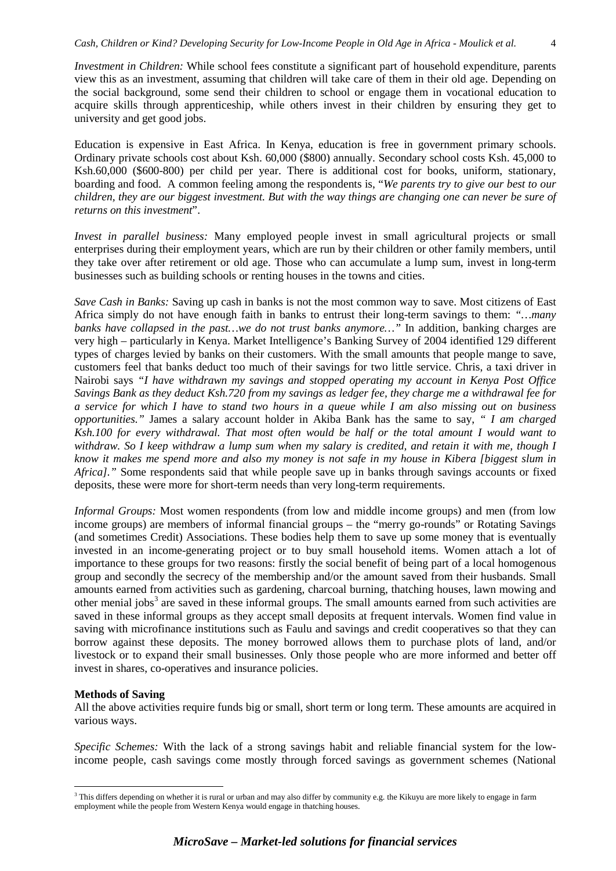4

Education is expensive in East Africa. In Kenya, education is free in government primary schools. Ordinary private schools cost about Ksh. 60,000 (\$800) annually. Secondary school costs Ksh. 45,000 to Ksh.60,000 (\$600-800) per child per year. There is additional cost for books, uniform, stationary, boarding and food. A common feeling among the respondents is, "*We parents try to give our best to our children, they are our biggest investment. But with the way things are changing one can never be sure of returns on this investment*".

*Invest in parallel business:* Many employed people invest in small agricultural projects or small enterprises during their employment years, which are run by their children or other family members, until they take over after retirement or old age. Those who can accumulate a lump sum, invest in long-term businesses such as building schools or renting houses in the towns and cities.

*Save Cash in Banks:* Saving up cash in banks is not the most common way to save. Most citizens of East Africa simply do not have enough faith in banks to entrust their long-term savings to them: *"…many banks have collapsed in the past…we do not trust banks anymore…"* In addition, banking charges are very high – particularly in Kenya. Market Intelligence's Banking Survey of 2004 identified 129 different types of charges levied by banks on their customers. With the small amounts that people mange to save, customers feel that banks deduct too much of their savings for two little service. Chris, a taxi driver in Nairobi says *"I have withdrawn my savings and stopped operating my account in Kenya Post Office Savings Bank as they deduct Ksh.720 from my savings as ledger fee, they charge me a withdrawal fee for a service for which I have to stand two hours in a queue while I am also missing out on business opportunities."* James a salary account holder in Akiba Bank has the same to say, *" I am charged Ksh.100 for every withdrawal. That most often would be half or the total amount I would want to withdraw. So I keep withdraw a lump sum when my salary is credited, and retain it with me, though I know it makes me spend more and also my money is not safe in my house in Kibera [biggest slum in Africa].*" Some respondents said that while people save up in banks through savings accounts or fixed deposits, these were more for short-term needs than very long-term requirements.

*Informal Groups:* Most women respondents (from low and middle income groups) and men (from low income groups) are members of informal financial groups – the "merry go-rounds" or Rotating Savings (and sometimes Credit) Associations. These bodies help them to save up some money that is eventually invested in an income-generating project or to buy small household items. Women attach a lot of importance to these groups for two reasons: firstly the social benefit of being part of a local homogenous group and secondly the secrecy of the membership and/or the amount saved from their husbands. Small amounts earned from activities such as gardening, charcoal burning, thatching houses, lawn mowing and other menial jobs<sup>[3](#page-4-0)</sup> are saved in these informal groups. The small amounts earned from such activities are saved in these informal groups as they accept small deposits at frequent intervals. Women find value in saving with microfinance institutions such as Faulu and savings and credit cooperatives so that they can borrow against these deposits. The money borrowed allows them to purchase plots of land, and/or livestock or to expand their small businesses. Only those people who are more informed and better off invest in shares, co-operatives and insurance policies.

#### **Methods of Saving**

All the above activities require funds big or small, short term or long term. These amounts are acquired in various ways.

*Specific Schemes:* With the lack of a strong savings habit and reliable financial system for the lowincome people, cash savings come mostly through forced savings as government schemes (National

<span id="page-4-0"></span><sup>&</sup>lt;sup>3</sup> This differs depending on whether it is rural or urban and may also differ by community e.g. the Kikuyu are more likely to engage in farm employment while the people from Western Kenya would engage in thatching houses.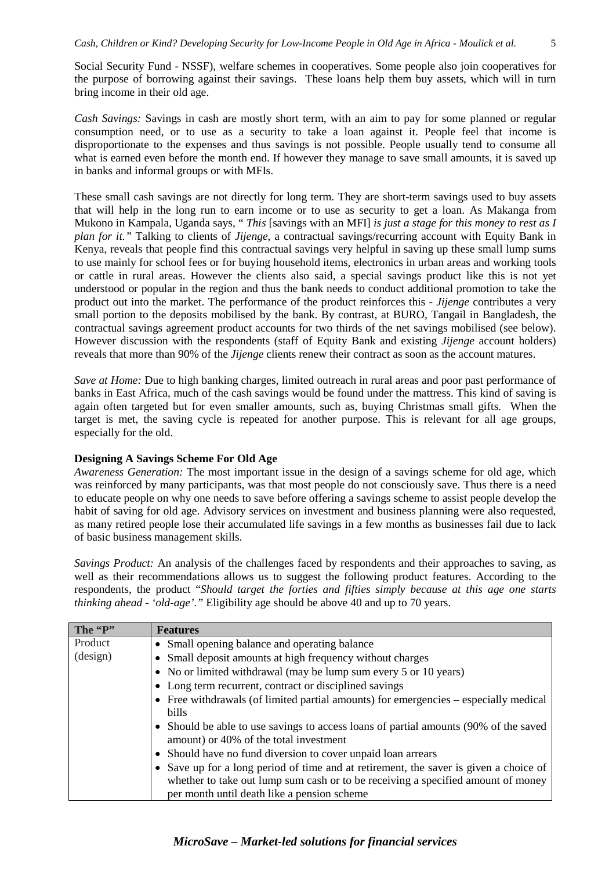Social Security Fund - NSSF), welfare schemes in cooperatives. Some people also join cooperatives for the purpose of borrowing against their savings. These loans help them buy assets, which will in turn bring income in their old age.

*Cash Savings:* Savings in cash are mostly short term, with an aim to pay for some planned or regular consumption need, or to use as a security to take a loan against it. People feel that income is disproportionate to the expenses and thus savings is not possible. People usually tend to consume all what is earned even before the month end. If however they manage to save small amounts, it is saved up in banks and informal groups or with MFIs.

These small cash savings are not directly for long term. They are short-term savings used to buy assets that will help in the long run to earn income or to use as security to get a loan. As Makanga from Mukono in Kampala, Uganda says, " *This* [savings with an MFI] *is just a stage for this money to rest as I plan for it."* Talking to clients of *Jijenge*, a contractual savings/recurring account with Equity Bank in Kenya, reveals that people find this contractual savings very helpful in saving up these small lump sums to use mainly for school fees or for buying household items, electronics in urban areas and working tools or cattle in rural areas. However the clients also said, a special savings product like this is not yet understood or popular in the region and thus the bank needs to conduct additional promotion to take the product out into the market. The performance of the product reinforces this - *Jijenge* contributes a very small portion to the deposits mobilised by the bank. By contrast, at BURO, Tangail in Bangladesh, the contractual savings agreement product accounts for two thirds of the net savings mobilised (see below). However discussion with the respondents (staff of Equity Bank and existing *Jijenge* account holders) reveals that more than 90% of the *Jijenge* clients renew their contract as soon as the account matures.

*Save at Home:* Due to high banking charges, limited outreach in rural areas and poor past performance of banks in East Africa, much of the cash savings would be found under the mattress. This kind of saving is again often targeted but for even smaller amounts, such as, buying Christmas small gifts. When the target is met, the saving cycle is repeated for another purpose. This is relevant for all age groups, especially for the old.

#### **Designing A Savings Scheme For Old Age**

*Awareness Generation:* The most important issue in the design of a savings scheme for old age, which was reinforced by many participants, was that most people do not consciously save. Thus there is a need to educate people on why one needs to save before offering a savings scheme to assist people develop the habit of saving for old age. Advisory services on investment and business planning were also requested, as many retired people lose their accumulated life savings in a few months as businesses fail due to lack of basic business management skills.

*Savings Product:* An analysis of the challenges faced by respondents and their approaches to saving, as well as their recommendations allows us to suggest the following product features. According to the respondents, the product "*Should target the forties and fifties simply because at this age one starts thinking ahead - 'old-age'."* Eligibility age should be above 40 and up to 70 years.

| The "P"  | <b>Features</b>                                                                     |
|----------|-------------------------------------------------------------------------------------|
| Product  | Small opening balance and operating balance                                         |
| (design) | Small deposit amounts at high frequency without charges                             |
|          | • No or limited withdrawal (may be lump sum every 5 or 10 years)                    |
|          | • Long term recurrent, contract or disciplined savings                              |
|          | Free withdrawals (of limited partial amounts) for emergencies – especially medical  |
|          | <b>bills</b>                                                                        |
|          | Should be able to use savings to access loans of partial amounts (90% of the saved  |
|          | amount) or 40% of the total investment                                              |
|          | Should have no fund diversion to cover unpaid loan arrears                          |
|          | Save up for a long period of time and at retirement, the saver is given a choice of |
|          | whether to take out lump sum cash or to be receiving a specified amount of money    |
|          | per month until death like a pension scheme                                         |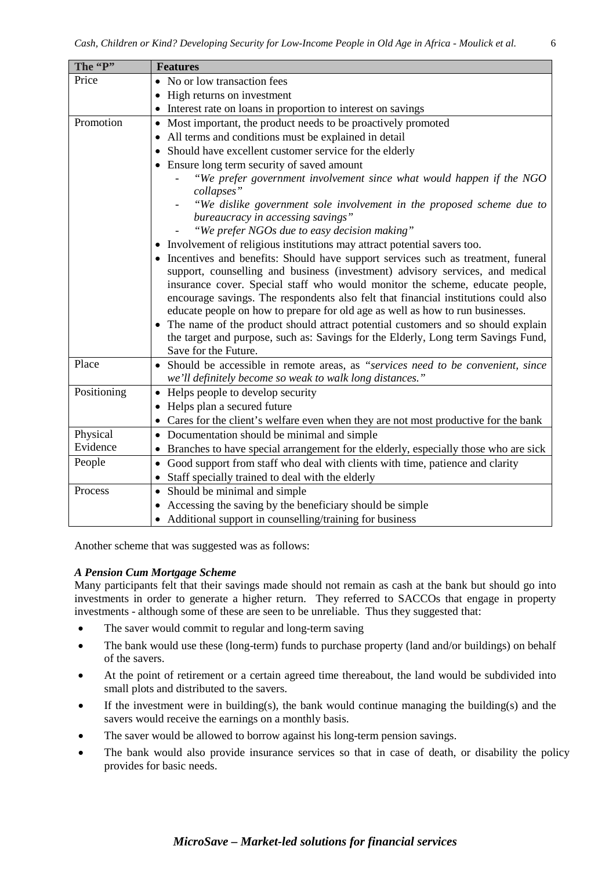| The "P"     | <b>Features</b>                                                                                                                                                       |
|-------------|-----------------------------------------------------------------------------------------------------------------------------------------------------------------------|
| Price       | • No or low transaction fees                                                                                                                                          |
|             | High returns on investment                                                                                                                                            |
|             | Interest rate on loans in proportion to interest on savings                                                                                                           |
| Promotion   | Most important, the product needs to be proactively promoted<br>$\bullet$                                                                                             |
|             | All terms and conditions must be explained in detail<br>$\bullet$                                                                                                     |
|             | Should have excellent customer service for the elderly<br>$\bullet$                                                                                                   |
|             | • Ensure long term security of saved amount                                                                                                                           |
|             | "We prefer government involvement since what would happen if the NGO<br>collapses"                                                                                    |
|             | "We dislike government sole involvement in the proposed scheme due to<br>bureaucracy in accessing savings"                                                            |
|             | "We prefer NGOs due to easy decision making"                                                                                                                          |
|             | • Involvement of religious institutions may attract potential savers too.                                                                                             |
|             | • Incentives and benefits: Should have support services such as treatment, funeral                                                                                    |
|             | support, counselling and business (investment) advisory services, and medical                                                                                         |
|             | insurance cover. Special staff who would monitor the scheme, educate people,                                                                                          |
|             | encourage savings. The respondents also felt that financial institutions could also<br>educate people on how to prepare for old age as well as how to run businesses. |
|             | • The name of the product should attract potential customers and so should explain                                                                                    |
|             | the target and purpose, such as: Savings for the Elderly, Long term Savings Fund,                                                                                     |
|             | Save for the Future.                                                                                                                                                  |
| Place       | Should be accessible in remote areas, as "services need to be convenient, since                                                                                       |
|             | we'll definitely become so weak to walk long distances."                                                                                                              |
| Positioning | • Helps people to develop security                                                                                                                                    |
|             | • Helps plan a secured future                                                                                                                                         |
|             | Cares for the client's welfare even when they are not most productive for the bank                                                                                    |
| Physical    | Documentation should be minimal and simple                                                                                                                            |
| Evidence    | Branches to have special arrangement for the elderly, especially those who are sick                                                                                   |
| People      | • Good support from staff who deal with clients with time, patience and clarity                                                                                       |
|             | Staff specially trained to deal with the elderly                                                                                                                      |
| Process     | Should be minimal and simple<br>$\bullet$                                                                                                                             |
|             | Accessing the saving by the beneficiary should be simple                                                                                                              |
|             | • Additional support in counselling/training for business                                                                                                             |

Another scheme that was suggested was as follows:

#### *A Pension Cum Mortgage Scheme*

Many participants felt that their savings made should not remain as cash at the bank but should go into investments in order to generate a higher return. They referred to SACCOs that engage in property investments - although some of these are seen to be unreliable. Thus they suggested that:

- The saver would commit to regular and long-term saving
- The bank would use these (long-term) funds to purchase property (land and/or buildings) on behalf of the savers.
- At the point of retirement or a certain agreed time thereabout, the land would be subdivided into small plots and distributed to the savers.
- If the investment were in building(s), the bank would continue managing the building(s) and the savers would receive the earnings on a monthly basis.
- The saver would be allowed to borrow against his long-term pension savings.
- The bank would also provide insurance services so that in case of death, or disability the policy provides for basic needs.

### *MicroSave – Market-led solutions for financial services*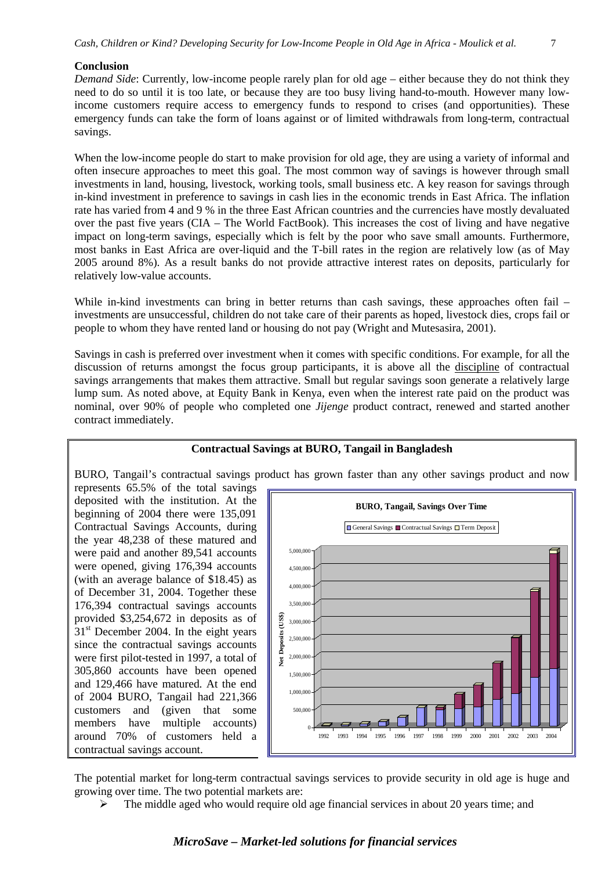#### **Conclusion**

*Demand Side*: Currently, low-income people rarely plan for old age – either because they do not think they need to do so until it is too late, or because they are too busy living hand-to-mouth. However many lowincome customers require access to emergency funds to respond to crises (and opportunities). These emergency funds can take the form of loans against or of limited withdrawals from long-term, contractual savings.

When the low-income people do start to make provision for old age, they are using a variety of informal and often insecure approaches to meet this goal. The most common way of savings is however through small investments in land, housing, livestock, working tools, small business etc. A key reason for savings through in-kind investment in preference to savings in cash lies in the economic trends in East Africa. The inflation rate has varied from 4 and 9 % in the three East African countries and the currencies have mostly devaluated over the past five years (CIA – The World FactBook). This increases the cost of living and have negative impact on long-term savings, especially which is felt by the poor who save small amounts. Furthermore, most banks in East Africa are over-liquid and the T-bill rates in the region are relatively low (as of May 2005 around 8%). As a result banks do not provide attractive interest rates on deposits, particularly for relatively low-value accounts.

While in-kind investments can bring in better returns than cash savings, these approaches often fail – investments are unsuccessful, children do not take care of their parents as hoped, livestock dies, crops fail or people to whom they have rented land or housing do not pay (Wright and Mutesasira, 2001).

Savings in cash is preferred over investment when it comes with specific conditions. For example, for all the discussion of returns amongst the focus group participants, it is above all the discipline of contractual savings arrangements that makes them attractive. Small but regular savings soon generate a relatively large lump sum. As noted above, at Equity Bank in Kenya, even when the interest rate paid on the product was nominal, over 90% of people who completed one *Jijenge* product contract, renewed and started another contract immediately.



#### **Contractual Savings at BURO, Tangail in Bangladesh**

BURO, Tangail's contractual savings product has grown faster than any other savings product and now

The potential market for long-term contractual savings services to provide security in old age is huge and growing over time. The two potential markets are:

 $\triangleright$  The middle aged who would require old age financial services in about 20 years time; and

#### *MicroSave – Market-led solutions for financial services*